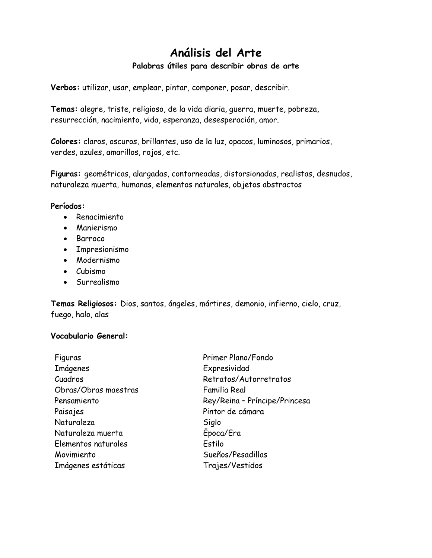# **Análisis del Arte**

### **Palabras útiles para describir obras de arte**

**Verbos:** utilizar, usar, emplear, pintar, componer, posar, describir.

**Temas:** alegre, triste, religioso, de la vida diaria, guerra, muerte, pobreza, resurrección, nacimiento, vida, esperanza, desesperación, amor.

**Colores:** claros, oscuros, brillantes, uso de la luz, opacos, luminosos, primarios, verdes, azules, amarillos, rojos, etc.

**Figuras:** geométricas, alargadas, contorneadas, distorsionadas, realistas, desnudos, naturaleza muerta, humanas, elementos naturales, objetos abstractos

#### **Períodos:**

- Renacimiento
- Manierismo
- Barroco
- Impresionismo
- Modernismo
- Cubismo
- Surrealismo

**Temas Religiosos:** Dios, santos, ángeles, mártires, demonio, infierno, cielo, cruz, fuego, halo, alas

#### **Vocabulario General:**

| Figuras              | Primer Plano/Fondo            |  |  |
|----------------------|-------------------------------|--|--|
| <b>Imágenes</b>      | Expresividad                  |  |  |
| Cuadros              | Retratos/Autorretratos        |  |  |
| Obras/Obras maestras | <b>Familia Real</b>           |  |  |
| Pensamiento          | Rey/Reina - Príncipe/Princesa |  |  |
| Paisajes             | Pintor de cámara              |  |  |
| Naturaleza           | Siglo                         |  |  |
| Naturaleza muerta    | Epoca/Era                     |  |  |
| Elementos naturales  | Estilo                        |  |  |
| Movimiento           | Sueños/Pesadillas             |  |  |
| Imágenes estáticas   | Trajes/Vestidos               |  |  |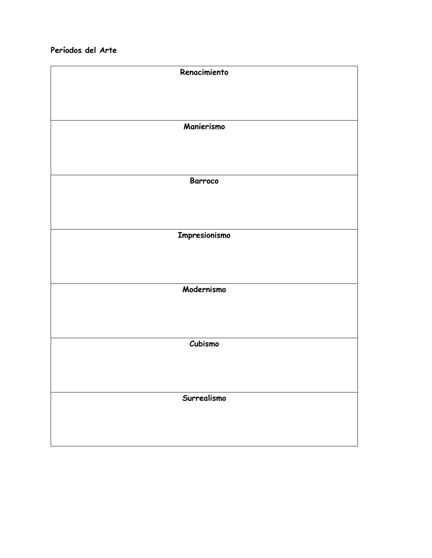## **Períodos del Arte**

| Renacimiento   |
|----------------|
|                |
|                |
|                |
| Manierismo     |
|                |
|                |
| <b>Barroco</b> |
|                |
|                |
|                |
| Impresionismo  |
|                |
|                |
| Modernismo     |
|                |
|                |
|                |
| Cubismo        |
|                |
|                |
| Surrealismo    |
|                |
|                |
|                |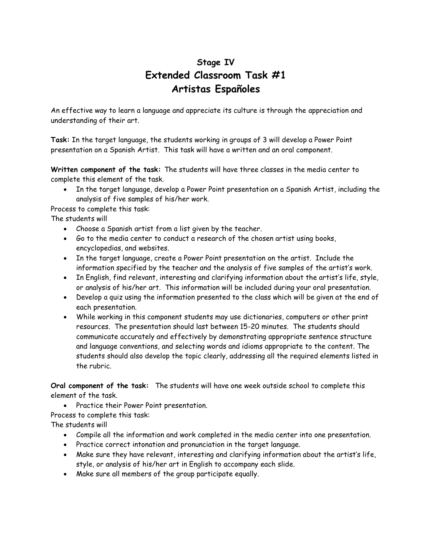## **Stage IV Extended Classroom Task #1 Artistas Españoles**

An effective way to learn a language and appreciate its culture is through the appreciation and understanding of their art.

**Task:** In the target language, the students working in groups of 3 will develop a Power Point presentation on a Spanish Artist. This task will have a written and an oral component.

**Written component of the task:** The students will have three classes in the media center to complete this element of the task.

 In the target language, develop a Power Point presentation on a Spanish Artist, including the analysis of five samples of his/her work.

Process to complete this task:

The students will

- Choose a Spanish artist from a list given by the teacher.
- Go to the media center to conduct a research of the chosen artist using books, encyclopedias, and websites.
- In the target language, create a Power Point presentation on the artist. Include the information specified by the teacher and the analysis of five samples of the artist's work.
- In English, find relevant, interesting and clarifying information about the artist's life, style, or analysis of his/her art. This information will be included during your oral presentation.
- Develop a quiz using the information presented to the class which will be given at the end of each presentation.
- While working in this component students may use dictionaries, computers or other print resources. The presentation should last between 15-20 minutes. The students should communicate accurately and effectively by demonstrating appropriate sentence structure and language conventions, and selecting words and idioms appropriate to the content. The students should also develop the topic clearly, addressing all the required elements listed in the rubric.

**Oral component of the task:** The students will have one week outside school to complete this element of the task.

• Practice their Power Point presentation.

Process to complete this task:

The students will

- Compile all the information and work completed in the media center into one presentation.
- Practice correct intonation and pronunciation in the target language.
- Make sure they have relevant, interesting and clarifying information about the artist's life, style, or analysis of his/her art in English to accompany each slide.
- Make sure all members of the group participate equally.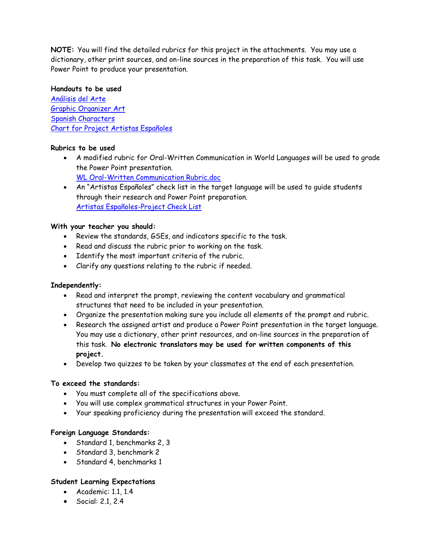**NOTE:** You will find the detailed rubrics for this project in the attachments. You may use a dictionary, other print sources, and on-line sources in the preparation of this task. You will use Power Point to produce your presentation.

#### **Handouts to be used**

[Análisis del Arte](file:///U:/Español%20IV/Civilizaciones/Análisis%20del%20Arte.doc) [Graphic Organizer Art](file:///U:/Español%20IV/Civilizaciones/Graphic%20Organizer%20Art.doc) [Spanish Characters](file://Nhs_1/nhsvol/Users/Gmcnamar/Español%20I/Español%20I-%20ProjectsExams/Spanish%20Characters%20for%20P.P.doc) [Chart for Project Artistas Españoles](Chart%20for%20Project%20Artistas%20Españoles.doc)

#### **Rubrics to be used**

- A modified rubric for Oral-Written Communication in World Languages will be used to grade the Power Point presentation. [WL Oral-Written Communication Rubric.doc](file://Nhs_1/nhsvol/Users/Gmcnamar/Common%20Tasks/Classroom%20Task%20III-1/WL%20Oral-Written%20Communication%20Rubric.doc)
- An "Artistas Españoles" check list in the target language will be used to guide students through their research and Power Point preparation. [Artistas Españoles-Project Check List](file://Nhs_1/nhsvol/Users/Gmcnamar/Common%20Tasks/Classroom%20task%20IV-1/Artistas%20Españoles-Project%20Check%20List.doc)

#### **With your teacher you should:**

- Review the standards, GSEs, and indicators specific to the task.
- Read and discuss the rubric prior to working on the task.
- Identify the most important criteria of the rubric.
- Clarify any questions relating to the rubric if needed.

#### **Independently:**

- Read and interpret the prompt, reviewing the content vocabulary and grammatical structures that need to be included in your presentation.
- Organize the presentation making sure you include all elements of the prompt and rubric.
- Research the assigned artist and produce a Power Point presentation in the target language. You may use a dictionary, other print resources, and on-line sources in the preparation of this task. **No electronic translators may be used for written components of this project.**
- Develop two quizzes to be taken by your classmates at the end of each presentation.

#### **To exceed the standards:**

- You must complete all of the specifications above.
- You will use complex grammatical structures in your Power Point.
- Your speaking proficiency during the presentation will exceed the standard.

#### **Foreign Language Standards:**

- Standard 1, benchmarks 2, 3
- Standard 3, benchmark 2
- Standard 4, benchmarks 1

#### **Student Learning Expectations**

- $\bullet$  Academic: 1.1, 1.4
- Social: 2.1, 2.4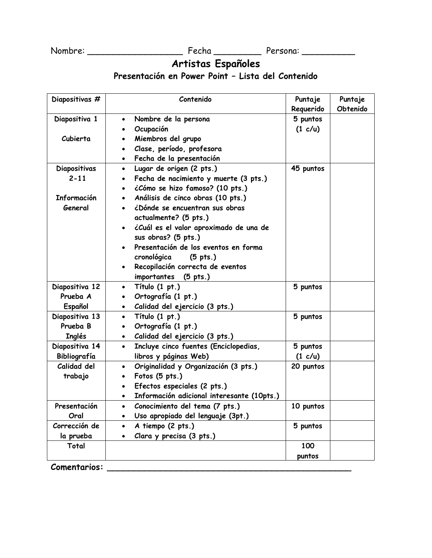Nombre: \_\_\_\_\_\_\_\_\_\_\_\_\_\_\_\_\_\_ Fecha \_\_\_\_\_\_\_\_\_ Persona: \_\_\_\_\_\_\_\_\_\_

**Artistas Españoles**

**Presentación en Power Point – Lista del Contenido**

| Diapositivas #      | Contenido                                               |           | Puntaje  |
|---------------------|---------------------------------------------------------|-----------|----------|
|                     |                                                         | Requerido | Obtenido |
| Diapositiva 1       | Nombre de la persona<br>$\bullet$                       | 5 puntos  |          |
|                     | Ocupación                                               | (1 c/u)   |          |
| Cubierta            | Miembros del grupo                                      |           |          |
|                     | Clase, período, profesora<br>$\bullet$                  |           |          |
|                     | Fecha de la presentación<br>$\bullet$                   |           |          |
| Diapositivas        | Lugar de origen (2 pts.)<br>$\bullet$                   | 45 puntos |          |
| $2 - 11$            | Fecha de nacimiento y muerte (3 pts.)<br>$\bullet$      |           |          |
|                     | ¿Cómo se hizo famoso? (10 pts.)                         |           |          |
| Información         | Análisis de cinco obras (10 pts.)                       |           |          |
| General             | ¿Dónde se encuentran sus obras                          |           |          |
|                     | actualmente? (5 pts.)                                   |           |          |
|                     | ¿Cuál es el valor aproximado de una de                  |           |          |
|                     | sus obras? (5 pts.)                                     |           |          |
|                     | Presentación de los eventos en forma                    |           |          |
|                     | cronológica<br>$(5$ pts.)                               |           |          |
|                     | Recopilación correcta de eventos                        |           |          |
|                     | importantes (5 pts.)                                    |           |          |
| Diapositiva 12      | Título (1 pt.)<br>$\bullet$                             | 5 puntos  |          |
| Prueba A            | Ortografía (1 pt.)                                      |           |          |
| Español             | Calidad del ejercicio (3 pts.)<br>$\bullet$             |           |          |
| Diapositiva 13      | Título (1 pt.)<br>$\bullet$                             | 5 puntos  |          |
| Prueba <sub>B</sub> | Ortografía (1 pt.)                                      |           |          |
| <b>Inglés</b>       | Calidad del ejercicio (3 pts.)<br>$\bullet$             |           |          |
| Diapositiva 14      | Incluye cinco fuentes (Enciclopedias,<br>$\bullet$      | 5 puntos  |          |
| Bibliografía        | libros y páginas Web)                                   | (1 c/u)   |          |
| Calidad del         | Originalidad y Organización (3 pts.)<br>$\bullet$       | 20 puntos |          |
| trabajo             | Fotos (5 pts.)                                          |           |          |
|                     | Efectos especiales (2 pts.)                             |           |          |
|                     | Información adicional interesante (10pts.)<br>$\bullet$ |           |          |
| Presentación        | Conocimiento del tema (7 pts.)<br>$\bullet$             | 10 puntos |          |
| Oral                | Uso apropiado del lenguaje (3pt.)                       |           |          |
| Corrección de       | A tiempo (2 pts.)                                       | 5 puntos  |          |
| la prueba           | Clara y precisa (3 pts.)                                |           |          |
| Total               |                                                         | 100       |          |
|                     |                                                         | puntos    |          |
| Comentarios:        |                                                         |           |          |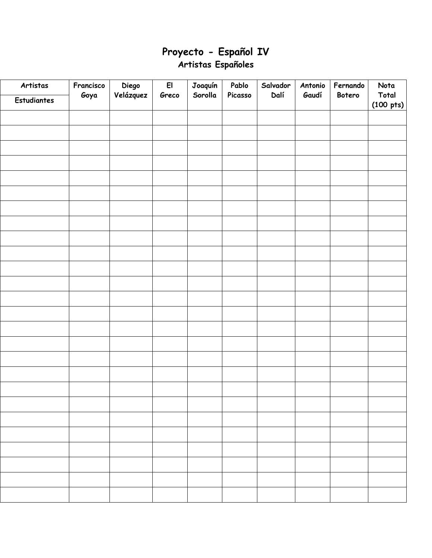## **Proyecto - Español IV Artistas Españoles**

| Artistas    | Francisco<br>Goya | Diego<br>Velázquez | $\mathsf{El}$<br>Greco | Joaquín<br>Sorolla | Pablo<br>Picasso | Salvador<br>Dalí | Antonio<br>Gaudí | Fernando<br>Botero | Nota<br>Total       |
|-------------|-------------------|--------------------|------------------------|--------------------|------------------|------------------|------------------|--------------------|---------------------|
| Estudiantes |                   |                    |                        |                    |                  |                  |                  |                    | $(100 \text{ pts})$ |
|             |                   |                    |                        |                    |                  |                  |                  |                    |                     |
|             |                   |                    |                        |                    |                  |                  |                  |                    |                     |
|             |                   |                    |                        |                    |                  |                  |                  |                    |                     |
|             |                   |                    |                        |                    |                  |                  |                  |                    |                     |
|             |                   |                    |                        |                    |                  |                  |                  |                    |                     |
|             |                   |                    |                        |                    |                  |                  |                  |                    |                     |
|             |                   |                    |                        |                    |                  |                  |                  |                    |                     |
|             |                   |                    |                        |                    |                  |                  |                  |                    |                     |
|             |                   |                    |                        |                    |                  |                  |                  |                    |                     |
|             |                   |                    |                        |                    |                  |                  |                  |                    |                     |
|             |                   |                    |                        |                    |                  |                  |                  |                    |                     |
|             |                   |                    |                        |                    |                  |                  |                  |                    |                     |
|             |                   |                    |                        |                    |                  |                  |                  |                    |                     |
|             |                   |                    |                        |                    |                  |                  |                  |                    |                     |
|             |                   |                    |                        |                    |                  |                  |                  |                    |                     |
|             |                   |                    |                        |                    |                  |                  |                  |                    |                     |
|             |                   |                    |                        |                    |                  |                  |                  |                    |                     |
|             |                   |                    |                        |                    |                  |                  |                  |                    |                     |
|             |                   |                    |                        |                    |                  |                  |                  |                    |                     |
|             |                   |                    |                        |                    |                  |                  |                  |                    |                     |
|             |                   |                    |                        |                    |                  |                  |                  |                    |                     |
|             |                   |                    |                        |                    |                  |                  |                  |                    |                     |
|             |                   |                    |                        |                    |                  |                  |                  |                    |                     |
|             |                   |                    |                        |                    |                  |                  |                  |                    |                     |
|             |                   |                    |                        |                    |                  |                  |                  |                    |                     |
|             |                   |                    |                        |                    |                  |                  |                  |                    |                     |
|             |                   |                    |                        |                    |                  |                  |                  |                    |                     |
|             |                   |                    |                        |                    |                  |                  |                  |                    |                     |
|             |                   |                    |                        |                    |                  |                  |                  |                    |                     |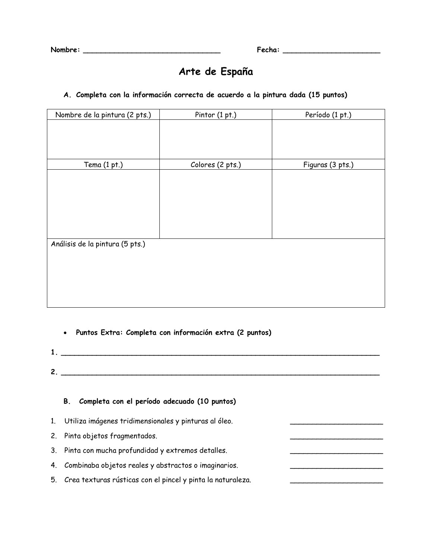## **Arte de España**

#### **A. Completa con la información correcta de acuerdo a la pintura dada (15 puntos)**

| Nombre de la pintura (2 pts.)   | Pintor (1 pt.)   | Período (1 pt.)  |
|---------------------------------|------------------|------------------|
|                                 |                  |                  |
|                                 |                  |                  |
|                                 |                  |                  |
| Tema (1 pt.)                    | Colores (2 pts.) | Figuras (3 pts.) |
|                                 |                  |                  |
|                                 |                  |                  |
|                                 |                  |                  |
|                                 |                  |                  |
|                                 |                  |                  |
|                                 |                  |                  |
|                                 |                  |                  |
| Análisis de la pintura (5 pts.) |                  |                  |
|                                 |                  |                  |
|                                 |                  |                  |
|                                 |                  |                  |
|                                 |                  |                  |
|                                 |                  |                  |
|                                 |                  |                  |

**Puntos Extra: Completa con información extra (2 puntos)**

**1. \_\_\_\_\_\_\_\_\_\_\_\_\_\_\_\_\_\_\_\_\_\_\_\_\_\_\_\_\_\_\_\_\_\_\_\_\_\_\_\_\_\_\_\_\_\_\_\_\_\_\_\_\_\_\_\_\_\_\_\_\_\_\_\_\_\_\_\_\_\_\_\_ 2**.

#### **B. Completa con el período adecuado (10 puntos)**

- 1. Utiliza imágenes tridimensionales y pinturas al óleo.
- 2. Pinta objetos fragmentados.
- 3. Pinta con mucha profundidad y extremos detalles.
- 4. Combinaba objetos reales y abstractos o imaginarios.
- 5. Crea texturas rústicas con el pincel y pinta la naturaleza.